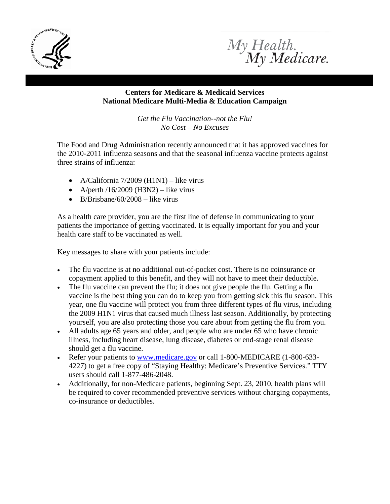



## **Centers for Medicare & Medicaid Services National Medicare Multi-Media & Education Campaign**

*Get the Flu Vaccination--not the Flu! No Cost – No Excuses*

The Food and Drug Administration recently announced that it has approved vaccines for the 2010-2011 influenza seasons and that the seasonal influenza vaccine protects against three strains of influenza:

- A/California  $7/2009$  (H1N1) like virus
- A/perth  $/16/2009$  (H3N2) like virus
- B/Brisbane/60/2008 like virus

As a health care provider, you are the first line of defense in communicating to your patients the importance of getting vaccinated. It is equally important for you and your health care staff to be vaccinated as well.

Key messages to share with your patients include:

- The flu vaccine is at no additional out-of-pocket cost. There is no coinsurance or copayment applied to this benefit, and they will not have to meet their deductible.
- The flu vaccine can prevent the flu; it does not give people the flu. Getting a flu vaccine is the best thing you can do to keep you from getting sick this flu season. This year, one flu vaccine will protect you from three different types of flu virus, including the 2009 H1N1 virus that caused much illness last season. Additionally, by protecting yourself, you are also protecting those you care about from getting the flu from you.
- All adults age 65 years and older, and people who are under 65 who have chronic illness, including heart disease, lung disease, diabetes or end-stage renal disease should get a flu vaccine.
- Refer your patients to [www.medicare.gov](http://www.medicare.gov/) or call 1-800-MEDICARE (1-800-633-4227) to get a free copy of "Staying Healthy: Medicare's Preventive Services." TTY users should call 1-877-486-2048.
- Additionally, for non-Medicare patients, beginning Sept. 23, 2010, health plans will be required to cover recommended preventive services without charging copayments, co-insurance or deductibles.